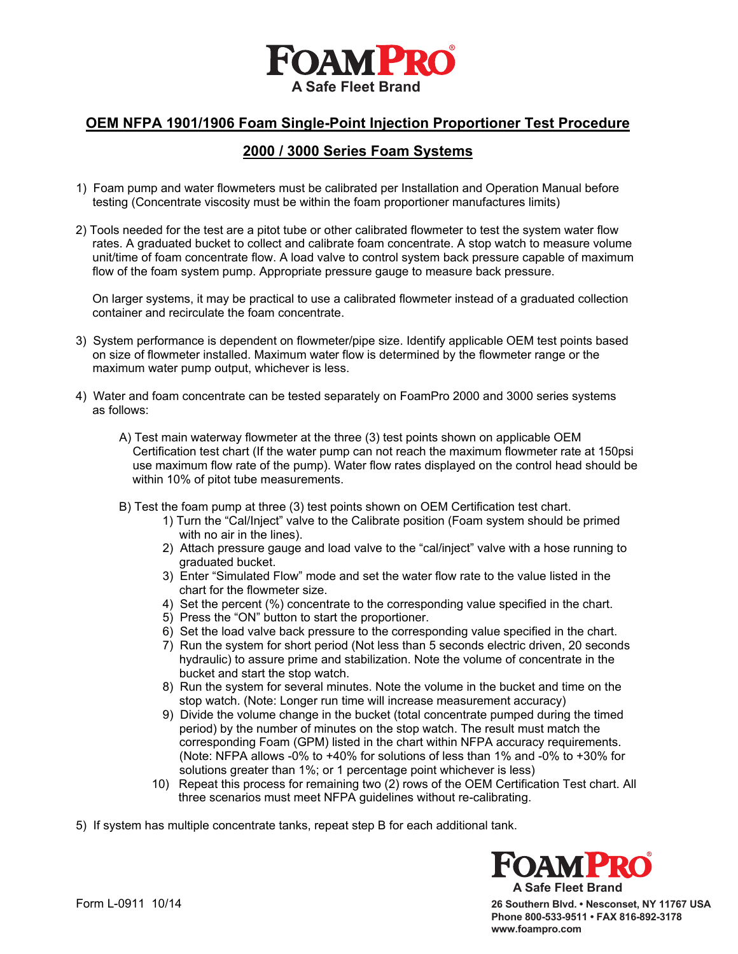

#### **OEM NFPA 1901/1906 Foam Single-Point Injection Proportioner Test Procedure**

### **2000 / 3000 Series Foam Systems**

- 1) Foam pump and water flowmeters must be calibrated per Installation and Operation Manual before testing (Concentrate viscosity must be within the foam proportioner manufactures limits)
- 2) Tools needed for the test are a pitot tube or other calibrated flowmeter to test the system water flow rates. A graduated bucket to collect and calibrate foam concentrate. A stop watch to measure volume unit/time of foam concentrate flow. A load valve to control system back pressure capable of maximum flow of the foam system pump. Appropriate pressure gauge to measure back pressure.

 On larger systems, it may be practical to use a calibrated flowmeter instead of a graduated collection container and recirculate the foam concentrate.

- 3) System performance is dependent on flowmeter/pipe size. Identify applicable OEM test points based on size of flowmeter installed. Maximum water flow is determined by the flowmeter range or the maximum water pump output, whichever is less.
- 4) Water and foam concentrate can be tested separately on FoamPro 2000 and 3000 series systems as follows:
	- A) Test main waterway flowmeter at the three (3) test points shown on applicable OEM Certification test chart (If the water pump can not reach the maximum flowmeter rate at 150psi use maximum flow rate of the pump). Water flow rates displayed on the control head should be within 10% of pitot tube measurements.
	- B) Test the foam pump at three (3) test points shown on OEM Certification test chart.
		- 1) Turn the "Cal/Inject" valve to the Calibrate position (Foam system should be primed with no air in the lines).
		- 2) Attach pressure gauge and load valve to the "cal/inject" valve with a hose running to graduated bucket.
		- 3) Enter "Simulated Flow" mode and set the water flow rate to the value listed in the chart for the flowmeter size.
		- 4) Set the percent (%) concentrate to the corresponding value specified in the chart.
		- 5) Press the "ON" button to start the proportioner.
		- 6) Set the load valve back pressure to the corresponding value specified in the chart.
		- 7) Run the system for short period (Not less than 5 seconds electric driven, 20 seconds hydraulic) to assure prime and stabilization. Note the volume of concentrate in the bucket and start the stop watch.
		- 8) Run the system for several minutes. Note the volume in the bucket and time on the stop watch. (Note: Longer run time will increase measurement accuracy)
		- 9) Divide the volume change in the bucket (total concentrate pumped during the timed period) by the number of minutes on the stop watch. The result must match the corresponding Foam (GPM) listed in the chart within NFPA accuracy requirements. (Note: NFPA allows -0% to +40% for solutions of less than 1% and -0% to +30% for solutions greater than 1%; or 1 percentage point whichever is less)
		- 10) Repeat this process for remaining two (2) rows of the OEM Certification Test chart. All three scenarios must meet NFPA guidelines without re-calibrating.

5) If system has multiple concentrate tanks, repeat step B for each additional tank.